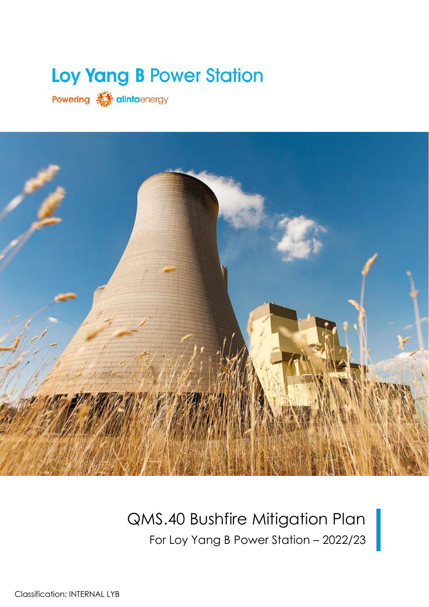# Loy Yang B Power Station

Powering **A** alintaenergy



# QMS.40 Bushfire Mitigation Plan For Loy Yang B Power Station – 2022/23

Classification: INTERNAL LYB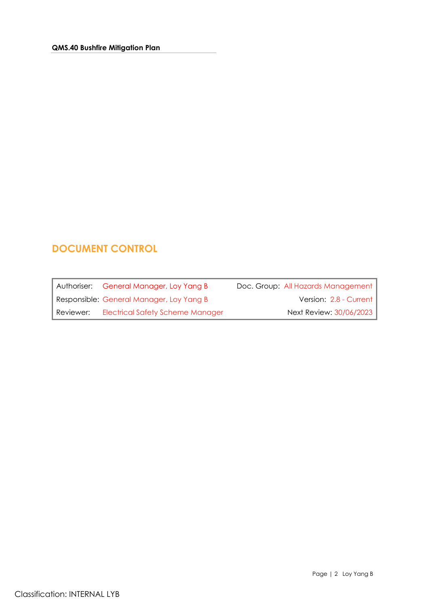# <span id="page-1-0"></span>**DOCUMENT CONTROL**

|           | Authoriser: General Manager, Loy Yang B  | Doc. Group: All Hazards Management |
|-----------|------------------------------------------|------------------------------------|
|           | Responsible: General Manager, Loy Yang B | Version: 2.8 - Current             |
| Reviewer: | <b>Electrical Safety Scheme Manager</b>  | Next Review: 30/06/2023            |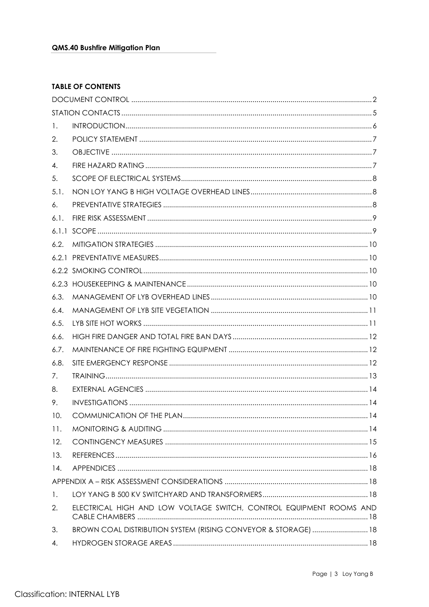#### **TABLE OF CONTENTS**

| 1.             |                                                                     |      |
|----------------|---------------------------------------------------------------------|------|
| 2.             |                                                                     |      |
| 3.             |                                                                     |      |
| 4.             |                                                                     |      |
| 5.             |                                                                     |      |
| 5.1.           |                                                                     |      |
| 6.             |                                                                     |      |
| 6.1.           |                                                                     |      |
|                |                                                                     |      |
| 6.2.           |                                                                     |      |
|                |                                                                     |      |
|                |                                                                     |      |
|                |                                                                     |      |
| 6.3.           |                                                                     |      |
| 6.4.           |                                                                     |      |
| 6.5.           |                                                                     |      |
| 6.6.           |                                                                     |      |
| 6.7.           |                                                                     |      |
| 6.8.           |                                                                     |      |
| 7.             |                                                                     |      |
| 8.             |                                                                     |      |
| 9.             |                                                                     |      |
| 10.            |                                                                     | . 14 |
| 11.            |                                                                     |      |
| 12.            |                                                                     |      |
| 13.            |                                                                     |      |
| 14.            |                                                                     |      |
|                |                                                                     |      |
| $\mathbf{1}$ . |                                                                     |      |
| 2.             | ELECTRICAL HIGH AND LOW VOLTAGE SWITCH, CONTROL EQUIPMENT ROOMS AND |      |
| 3.             | BROWN COAL DISTRIBUTION SYSTEM (RISING CONVEYOR & STORAGE)  18      |      |
| 4.             |                                                                     |      |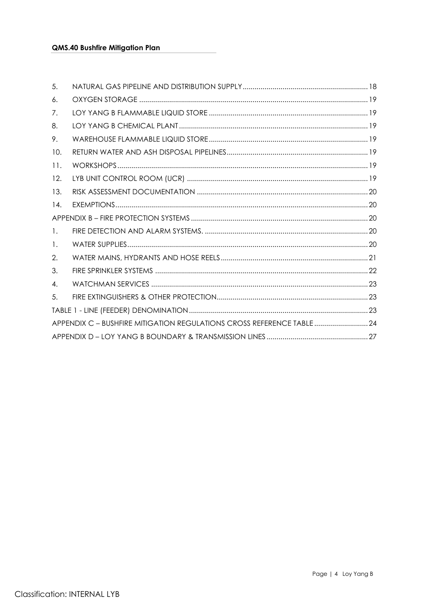| 5.             |                                                                       |  |
|----------------|-----------------------------------------------------------------------|--|
| 6.             |                                                                       |  |
| 7.             |                                                                       |  |
| 8.             |                                                                       |  |
| 9.             |                                                                       |  |
| 10.            |                                                                       |  |
| 11.            |                                                                       |  |
| 12.            |                                                                       |  |
| 13.            |                                                                       |  |
| 14.            |                                                                       |  |
|                |                                                                       |  |
| $\mathbf{1}$ . |                                                                       |  |
| 1.             |                                                                       |  |
| 2.             |                                                                       |  |
| 3.             |                                                                       |  |
| 4.             |                                                                       |  |
| 5.             |                                                                       |  |
|                |                                                                       |  |
|                | APPENDIX C - BUSHFIRE MITIGATION REGULATIONS CROSS REFERENCE TABLE 24 |  |
|                |                                                                       |  |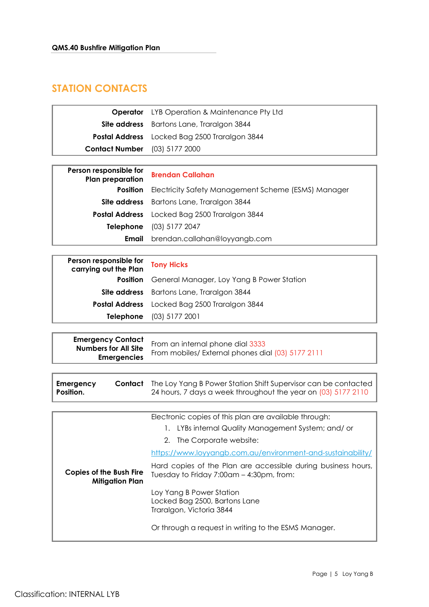# <span id="page-4-0"></span>**STATION CONTACTS**

| Operator                                                                      | LYB Operation & Maintenance Pty Ltd                                                   |
|-------------------------------------------------------------------------------|---------------------------------------------------------------------------------------|
| Site address                                                                  | Bartons Lane, Traralgon 3844                                                          |
| <b>Postal Address</b>                                                         | Locked Bag 2500 Traralgon 3844                                                        |
| <b>Contact Number</b>                                                         | (03) 5177 2000                                                                        |
|                                                                               |                                                                                       |
| Person responsible for<br><b>Plan preparation</b>                             | <b>Brendan Callahan</b>                                                               |
| <b>Position</b>                                                               | Electricity Safety Management Scheme (ESMS) Manager                                   |
| Site address                                                                  | Bartons Lane, Traralgon 3844                                                          |
| <b>Postal Address</b>                                                         | Locked Bag 2500 Traralgon 3844                                                        |
| <b>Telephone</b>                                                              | $(03)$ 5177 2047                                                                      |
| Email                                                                         | brendan.callahan@loyyangb.com                                                         |
|                                                                               |                                                                                       |
| Person responsible for<br>carrying out the Plan                               | <b>Tony Hicks</b>                                                                     |
| <b>Position</b>                                                               | General Manager, Loy Yang B Power Station                                             |
| Site address                                                                  | Bartons Lane, Traralgon 3844                                                          |
| <b>Postal Address</b>                                                         | Locked Bag 2500 Traralgon 3844                                                        |
| <b>Telephone</b>                                                              | $(03)$ 5177 2001                                                                      |
|                                                                               |                                                                                       |
| <b>Emergency Contact</b><br><b>Numbers for All Site</b><br><b>Emergencies</b> | From an internal phone dial 3333<br>From mobiles/ External phones dial (03) 5177 2111 |

|                                                   | Electronic copies of this plan are available through:<br>LYBs internal Quality Management System; and/ or<br>1.<br>2. The Corporate website:<br>https://www.loyyangb.com.au/environment-and-sustainability/ |  |  |
|---------------------------------------------------|-------------------------------------------------------------------------------------------------------------------------------------------------------------------------------------------------------------|--|--|
| Copies of the Bush Fire<br><b>Mitigation Plan</b> | Hard copies of the Plan are accessible during business hours,<br>Tuesday to Friday 7:00am - 4:30pm, from:                                                                                                   |  |  |
|                                                   | Loy Yang B Power Station<br>Locked Bag 2500, Bartons Lane<br>Traralgon, Victoria 3844                                                                                                                       |  |  |
|                                                   | Or through a request in writing to the ESMS Manager.                                                                                                                                                        |  |  |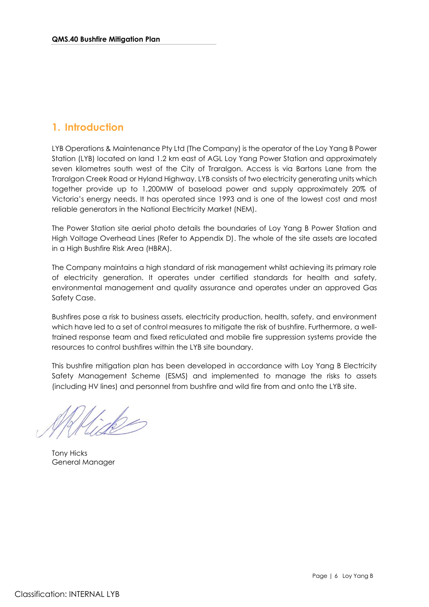## <span id="page-5-0"></span>**1. Introduction**

LYB Operations & Maintenance Pty Ltd (The Company) is the operator of the Loy Yang B Power Station (LYB) located on land 1.2 km east of AGL Loy Yang Power Station and approximately seven kilometres south west of the City of Traralgon. Access is via Bartons Lane from the Traralgon Creek Road or Hyland Highway. LYB consists of two electricity generating units which together provide up to 1,200MW of baseload power and supply approximately 20% of Victoria's energy needs. It has operated since 1993 and is one of the lowest cost and most reliable generators in the National Electricity Market (NEM).

The Power Station site aerial photo details the boundaries of Loy Yang B Power Station and High Voltage Overhead Lines (Refer to Appendix D). The whole of the site assets are located in a High Bushfire Risk Area (HBRA).

The Company maintains a high standard of risk management whilst achieving its primary role of electricity generation. It operates under certified standards for health and safety, environmental management and quality assurance and operates under an approved Gas Safety Case.

Bushfires pose a risk to business assets, electricity production, health, safety, and environment which have led to a set of control measures to mitigate the risk of bushfire. Furthermore, a welltrained response team and fixed reticulated and mobile fire suppression systems provide the resources to control bushfires within the LYB site boundary.

This bushfire mitigation plan has been developed in accordance with Loy Yang B Electricity Safety Management Scheme (ESMS) and implemented to manage the risks to assets (including HV lines) and personnel from bushfire and wild fire from and onto the LYB site.

Tony Hicks General Manager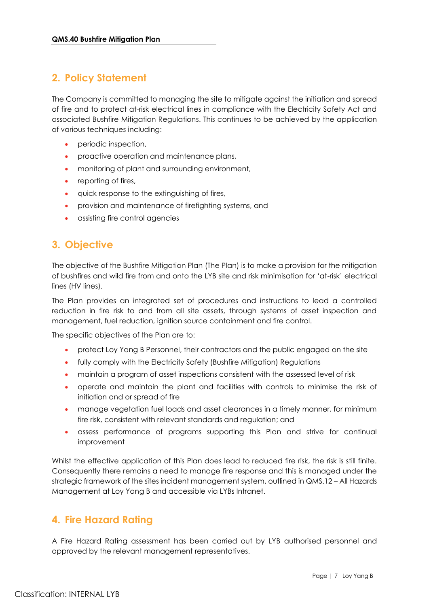## <span id="page-6-0"></span>**2. Policy Statement**

The Company is committed to managing the site to mitigate against the initiation and spread of fire and to protect at-risk electrical lines in compliance with the Electricity Safety Act and associated Bushfire Mitigation Regulations. This continues to be achieved by the application of various techniques including:

- periodic inspection,
- proactive operation and maintenance plans,
- monitoring of plant and surrounding environment,
- reporting of fires,
- quick response to the extinguishing of fires,
- provision and maintenance of firefighting systems, and
- assisting fire control agencies

# <span id="page-6-1"></span>**3. Objective**

The objective of the Bushfire Mitigation Plan (The Plan) is to make a provision for the mitigation of bushfires and wild fire from and onto the LYB site and risk minimisation for 'at-risk' electrical lines (HV lines).

The Plan provides an integrated set of procedures and instructions to lead a controlled reduction in fire risk to and from all site assets, through systems of asset inspection and management, fuel reduction, ignition source containment and fire control.

The specific objectives of the Plan are to:

- protect Loy Yang B Personnel, their contractors and the public engaged on the site
- fully comply with the Electricity Safety (Bushfire Mitigation) Regulations
- maintain a program of asset inspections consistent with the assessed level of risk
- operate and maintain the plant and facilities with controls to minimise the risk of initiation and or spread of fire
- manage vegetation fuel loads and asset clearances in a timely manner, for minimum fire risk, consistent with relevant standards and regulation; and
- assess performance of programs supporting this Plan and strive for continual improvement

Whilst the effective application of this Plan does lead to reduced fire risk, the risk is still finite. Consequently there remains a need to manage fire response and this is managed under the strategic framework of the sites incident management system, outlined in QMS.12 – All Hazards Management at Loy Yang B and accessible via LYBs Intranet.

### <span id="page-6-2"></span>**4. Fire Hazard Rating**

A Fire Hazard Rating assessment has been carried out by LYB authorised personnel and approved by the relevant management representatives.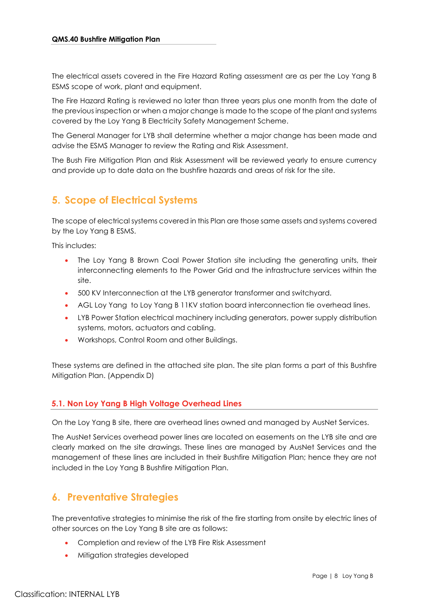The electrical assets covered in the Fire Hazard Rating assessment are as per the Loy Yang B ESMS scope of work, plant and equipment.

The Fire Hazard Rating is reviewed no later than three years plus one month from the date of the previous inspection or when a major change is made to the scope of the plant and systems covered by the Loy Yang B Electricity Safety Management Scheme.

The General Manager for LYB shall determine whether a major change has been made and advise the ESMS Manager to review the Rating and Risk Assessment.

The Bush Fire Mitigation Plan and Risk Assessment will be reviewed yearly to ensure currency and provide up to date data on the bushfire hazards and areas of risk for the site.

# <span id="page-7-0"></span>**5. Scope of Electrical Systems**

The scope of electrical systems covered in this Plan are those same assets and systems covered by the Loy Yang B ESMS.

This includes:

- The Loy Yang B Brown Coal Power Station site including the generating units, their interconnecting elements to the Power Grid and the infrastructure services within the site.
- 500 KV Interconnection at the LYB generator transformer and switchyard.
- AGL Loy Yang to Loy Yang B 11KV station board interconnection tie overhead lines.
- LYB Power Station electrical machinery including generators, power supply distribution systems, motors, actuators and cabling.
- Workshops, Control Room and other Buildings.

These systems are defined in the attached site plan. The site plan forms a part of this Bushfire Mitigation Plan. (Appendix D)

#### <span id="page-7-1"></span>**5.1. Non Loy Yang B High Voltage Overhead Lines**

On the Loy Yang B site, there are overhead lines owned and managed by AusNet Services.

The AusNet Services overhead power lines are located on easements on the LYB site and are clearly marked on the site drawings. These lines are managed by AusNet Services and the management of these lines are included in their Bushfire Mitigation Plan; hence they are not included in the Loy Yang B Bushfire Mitigation Plan.

### <span id="page-7-2"></span>**6. Preventative Strategies**

The preventative strategies to minimise the risk of the fire starting from onsite by electric lines of other sources on the Loy Yang B site are as follows:

- Completion and review of the LYB Fire Risk Assessment
- Mitigation strategies developed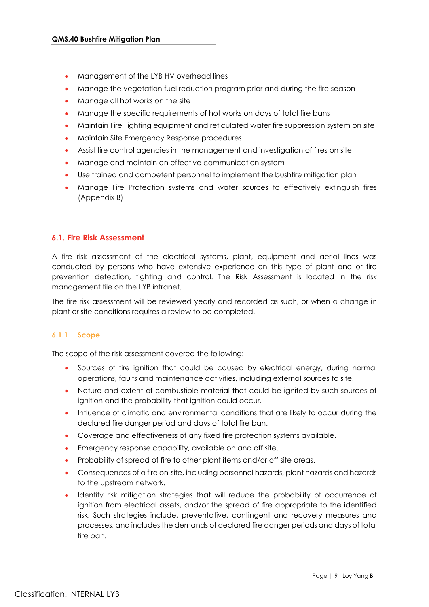- Management of the LYB HV overhead lines
- Manage the vegetation fuel reduction program prior and during the fire season
- Manage all hot works on the site
- Manage the specific requirements of hot works on days of total fire bans
- Maintain Fire Fighting equipment and reticulated water fire suppression system on site
- Maintain Site Emergency Response procedures
- Assist fire control agencies in the management and investigation of fires on site
- Manage and maintain an effective communication system
- Use trained and competent personnel to implement the bushfire mitigation plan
- Manage Fire Protection systems and water sources to effectively extinguish fires (Appendix B)

#### <span id="page-8-0"></span>**6.1. Fire Risk Assessment**

A fire risk assessment of the electrical systems, plant, equipment and aerial lines was conducted by persons who have extensive experience on this type of plant and or fire prevention detection, fighting and control. The Risk Assessment is located in the risk management file on the LYB intranet.

The fire risk assessment will be reviewed yearly and recorded as such, or when a change in plant or site conditions requires a review to be completed.

#### <span id="page-8-1"></span>**6.1.1 Scope**

The scope of the risk assessment covered the following:

- Sources of fire ignition that could be caused by electrical energy, during normal operations, faults and maintenance activities, including external sources to site.
- Nature and extent of combustible material that could be ignited by such sources of ignition and the probability that ignition could occur.
- Influence of climatic and environmental conditions that are likely to occur during the declared fire danger period and days of total fire ban.
- Coverage and effectiveness of any fixed fire protection systems available.
- Emergency response capability, available on and off site.
- Probability of spread of fire to other plant items and/or off site areas.
- Consequences of a fire on-site, including personnel hazards, plant hazards and hazards to the upstream network.
- Identify risk mitigation strategies that will reduce the probability of occurrence of ignition from electrical assets, and/or the spread of fire appropriate to the identified risk. Such strategies include, preventative, contingent and recovery measures and processes, and includes the demands of declared fire danger periods and days of total fire ban.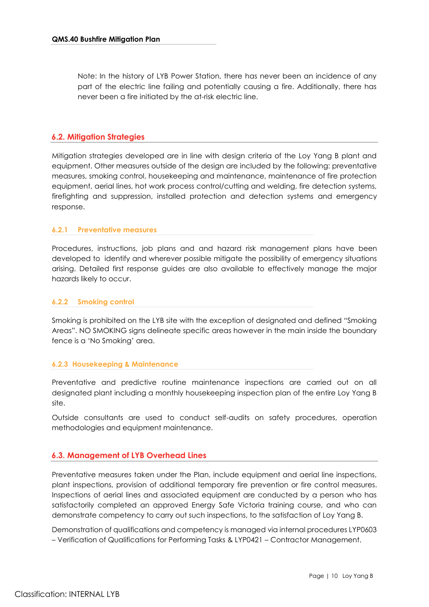Note: In the history of LYB Power Station, there has never been an incidence of any part of the electric line failing and potentially causing a fire. Additionally, there has never been a fire initiated by the at-risk electric line.

#### <span id="page-9-0"></span>**6.2. Mitigation Strategies**

Mitigation strategies developed are in line with design criteria of the Loy Yang B plant and equipment. Other measures outside of the design are included by the following: preventative measures, smoking control, housekeeping and maintenance, maintenance of fire protection equipment, aerial lines, hot work process control/cutting and welding, fire detection systems, firefighting and suppression, installed protection and detection systems and emergency response.

#### <span id="page-9-1"></span>**6.2.1 Preventative measures**

Procedures, instructions, job plans and and hazard risk management plans have been developed to identify and wherever possible mitigate the possibility of emergency situations arising. Detailed first response guides are also available to effectively manage the major hazards likely to occur.

#### <span id="page-9-2"></span>**6.2.2 Smoking control**

Smoking is prohibited on the LYB site with the exception of designated and defined "Smoking Areas". NO SMOKING signs delineate specific areas however in the main inside the boundary fence is a 'No Smoking' area.

#### <span id="page-9-3"></span>**6.2.3 Housekeeping & Maintenance**

Preventative and predictive routine maintenance inspections are carried out on all designated plant including a monthly housekeeping inspection plan of the entire Loy Yang B site.

Outside consultants are used to conduct self-audits on safety procedures, operation methodologies and equipment maintenance.

#### <span id="page-9-4"></span>**6.3. Management of LYB Overhead Lines**

Preventative measures taken under the Plan, include equipment and aerial line inspections, plant inspections, provision of additional temporary fire prevention or fire control measures. Inspections of aerial lines and associated equipment are conducted by a person who has satisfactorily completed an approved Energy Safe Victoria training course, and who can demonstrate competency to carry out such inspections, to the satisfaction of Loy Yang B.

Demonstration of qualifications and competency is managed via internal procedures LYP0603 – Verification of Qualifications for Performing Tasks & LYP0421 – Contractor Management.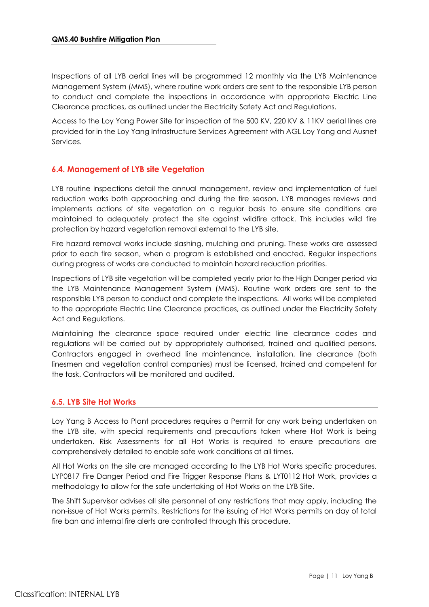Inspections of all LYB aerial lines will be programmed 12 monthly via the LYB Maintenance Management System (MMS), where routine work orders are sent to the responsible LYB person to conduct and complete the inspections in accordance with appropriate Electric Line Clearance practices, as outlined under the Electricity Safety Act and Regulations.

Access to the Loy Yang Power Site for inspection of the 500 KV, 220 KV & 11KV aerial lines are provided for in the Loy Yang Infrastructure Services Agreement with AGL Loy Yang and Ausnet Services.

#### <span id="page-10-0"></span>**6.4. Management of LYB site Vegetation**

LYB routine inspections detail the annual management, review and implementation of fuel reduction works both approaching and during the fire season. LYB manages reviews and implements actions of site vegetation on a regular basis to ensure site conditions are maintained to adequately protect the site against wildfire attack. This includes wild fire protection by hazard vegetation removal external to the LYB site.

Fire hazard removal works include slashing, mulching and pruning. These works are assessed prior to each fire season, when a program is established and enacted. Regular inspections during progress of works are conducted to maintain hazard reduction priorities.

Inspections of LYB site vegetation will be completed yearly prior to the High Danger period via the LYB Maintenance Management System (MMS). Routine work orders are sent to the responsible LYB person to conduct and complete the inspections. All works will be completed to the appropriate Electric Line Clearance practices, as outlined under the Electricity Safety Act and Regulations.

Maintaining the clearance space required under electric line clearance codes and regulations will be carried out by appropriately authorised, trained and qualified persons. Contractors engaged in overhead line maintenance, installation, line clearance (both linesmen and vegetation control companies) must be licensed, trained and competent for the task. Contractors will be monitored and audited.

#### <span id="page-10-1"></span>**6.5. LYB Site Hot Works**

Loy Yang B Access to Plant procedures requires a Permit for any work being undertaken on the LYB site, with special requirements and precautions taken where Hot Work is being undertaken. Risk Assessments for all Hot Works is required to ensure precautions are comprehensively detailed to enable safe work conditions at all times.

All Hot Works on the site are managed according to the LYB Hot Works specific procedures. LYP0817 Fire Danger Period and Fire Trigger Response Plans & LYT0112 Hot Work, provides a methodology to allow for the safe undertaking of Hot Works on the LYB Site.

The Shift Supervisor advises all site personnel of any restrictions that may apply, including the non-issue of Hot Works permits. Restrictions for the issuing of Hot Works permits on day of total fire ban and internal fire alerts are controlled through this procedure.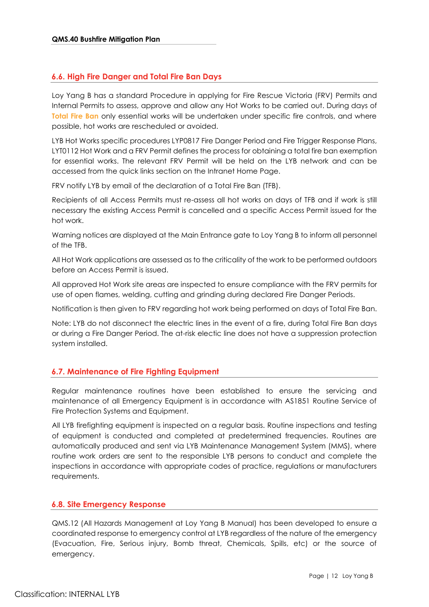#### <span id="page-11-0"></span>**6.6. High Fire Danger and Total Fire Ban Days**

Loy Yang B has a standard Procedure in applying for Fire Rescue Victoria (FRV) Permits and Internal Permits to assess, approve and allow any Hot Works to be carried out. During days of **Total Fire Ban** only essential works will be undertaken under specific fire controls, and where possible, hot works are rescheduled or avoided.

LYB Hot Works specific procedures LYP0817 Fire Danger Period and Fire Trigger Response Plans, LYT0112 Hot Work and a FRV Permit defines the process for obtaining a total fire ban exemption for essential works. The relevant FRV Permit will be held on the LYB network and can be accessed from the quick links section on the Intranet Home Page.

FRV notify LYB by email of the declaration of a Total Fire Ban (TFB).

Recipients of all Access Permits must re-assess all hot works on days of TFB and if work is still necessary the existing Access Permit is cancelled and a specific Access Permit issued for the hot work.

Warning notices are displayed at the Main Entrance gate to Loy Yang B to inform all personnel of the TFB.

All Hot Work applications are assessed as to the criticality of the work to be performed outdoors before an Access Permit is issued.

All approved Hot Work site areas are inspected to ensure compliance with the FRV permits for use of open flames, welding, cutting and grinding during declared Fire Danger Periods.

Notification is then given to FRV regarding hot work being performed on days of Total Fire Ban.

Note: LYB do not disconnect the electric lines in the event of a fire, during Total Fire Ban days or during a Fire Danger Period. The at-risk electic line does not have a suppression protection system installed.

#### <span id="page-11-1"></span>**6.7. Maintenance of Fire Fighting Equipment**

Regular maintenance routines have been established to ensure the servicing and maintenance of all Emergency Equipment is in accordance with AS1851 Routine Service of Fire Protection Systems and Equipment.

All LYB firefighting equipment is inspected on a regular basis. Routine inspections and testing of equipment is conducted and completed at predetermined frequencies. Routines are automatically produced and sent via LYB Maintenance Management System (MMS), where routine work orders are sent to the responsible LYB persons to conduct and complete the inspections in accordance with appropriate codes of practice, regulations or manufacturers requirements.

#### <span id="page-11-2"></span>**6.8. Site Emergency Response**

QMS.12 (All Hazards Management at Loy Yang B Manual) has been developed to ensure a coordinated response to emergency control at LYB regardless of the nature of the emergency (Evacuation, Fire, Serious injury, Bomb threat, Chemicals, Spills, etc) or the source of emergency.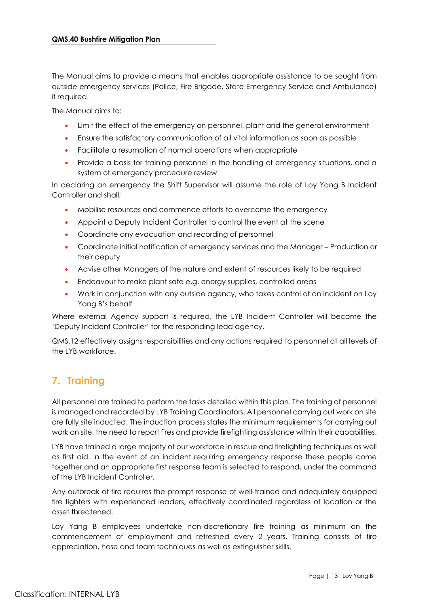The Manual aims to provide a means that enables appropriate assistance to be sought from outside emergency services (Police, Fire Brigade, State Emergency Service and Ambulance) if required.

The Manual aims to:

- Limit the effect of the emergency on personnel, plant and the general environment
- Ensure the satisfactory communication of all vital information as soon as possible
- Facilitate a resumption of normal operations when appropriate
- Provide a basis for training personnel in the handling of emergency situations, and a system of emergency procedure review

In declaring an emergency the Shift Supervisor will assume the role of Loy Yang B Incident Controller and shall;

- Mobilise resources and commence efforts to overcome the emergency
- Appoint a Deputy Incident Controller to control the event at the scene
- Coordinate any evacuation and recording of personnel
- Coordinate initial notification of emergency services and the Manager Production or their deputy
- Advise other Managers of the nature and extent of resources likely to be required
- Endeavour to make plant safe e.g. energy supplies, controlled areas
- Work in conjunction with any outside agency, who takes control of an incident on Loy Yang B's behalf

Where external Agency support is required, the LYB Incident Controller will become the 'Deputy Incident Controller' for the responding lead agency.

QMS.12 effectively assigns responsibilities and any actions required to personnel at all levels of the LYB workforce.

# <span id="page-12-0"></span>**7. Training**

All personnel are trained to perform the tasks detailed within this plan. The training of personnel is managed and recorded by LYB Training Coordinators. All personnel carrying out work on site are fully site inducted. The induction process states the minimum requirements for carrying out work on site, the need to report fires and provide firefighting assistance within their capabilities.

LYB have trained a large majority of our workforce in rescue and firefighting techniques as well as first aid. In the event of an incident requiring emergency response these people come together and an appropriate first response team is selected to respond, under the command of the LYB Incident Controller.

Any outbreak of fire requires the prompt response of well-trained and adequately equipped fire fighters with experienced leaders, effectively coordinated regardless of location or the asset threatened.

Loy Yang B employees undertake non-discretionary fire training as minimum on the commencement of employment and refreshed every 2 years. Training consists of fire appreciation, hose and foam techniques as well as extinguisher skills.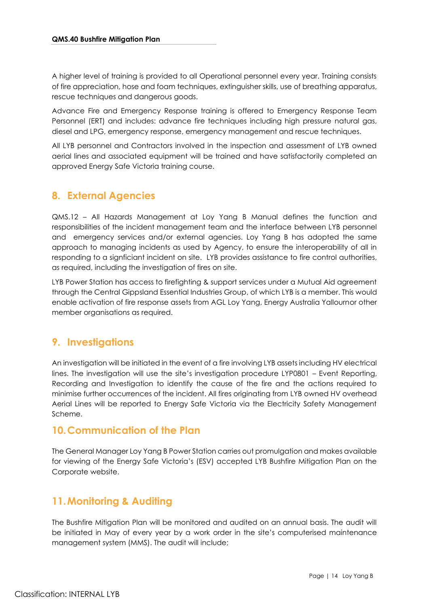A higher level of training is provided to all Operational personnel every year. Training consists of fire appreciation, hose and foam techniques, extinguisher skills, use of breathing apparatus, rescue techniques and dangerous goods.

Advance Fire and Emergency Response training is offered to Emergency Response Team Personnel (ERT) and includes: advance fire techniques including high pressure natural gas, diesel and LPG, emergency response, emergency management and rescue techniques.

All LYB personnel and Contractors involved in the inspection and assessment of LYB owned aerial lines and associated equipment will be trained and have satisfactorily completed an approved Energy Safe Victoria training course.

# <span id="page-13-0"></span>**8. External Agencies**

QMS.12 – All Hazards Management at Loy Yang B Manual defines the function and responsibilities of the incident management team and the interface between LYB personnel and emergency services and/or external agencies. Loy Yang B has adopted the same approach to managing incidents as used by Agency, to ensure the interoperability of all in responding to a signficiant incident on site. LYB provides assistance to fire control authorities, as required, including the investigation of fires on site.

LYB Power Station has access to firefighting & support services under a Mutual Aid agreement through the Central Gippsland Essential Industries Group, of which LYB is a member. This would enable activation of fire response assets from AGL Loy Yang, Energy Australia Yallournor other member organisations as required.

# <span id="page-13-1"></span>**9. Investigations**

An investigation will be initiated in the event of a fire involving LYB assets including HV electrical lines. The investigation will use the site's investigation procedure LYP0801 – Event Reporting, Recording and Investigation to identify the cause of the fire and the actions required to minimise further occurrences of the incident. All fires originating from LYB owned HV overhead Aerial Lines will be reported to Energy Safe Victoria via the Electricity Safety Management Scheme.

### <span id="page-13-2"></span>**10.Communication of the Plan**

The General Manager Loy Yang B Power Station carries out promulgation and makes available for viewing of the Energy Safe Victoria's (ESV) accepted LYB Bushfire Mitigation Plan on the Corporate website.

# <span id="page-13-3"></span>**11.Monitoring & Auditing**

The Bushfire Mitigation Plan will be monitored and audited on an annual basis. The audit will be initiated in May of every year by a work order in the site's computerised maintenance management system (MMS). The audit will include;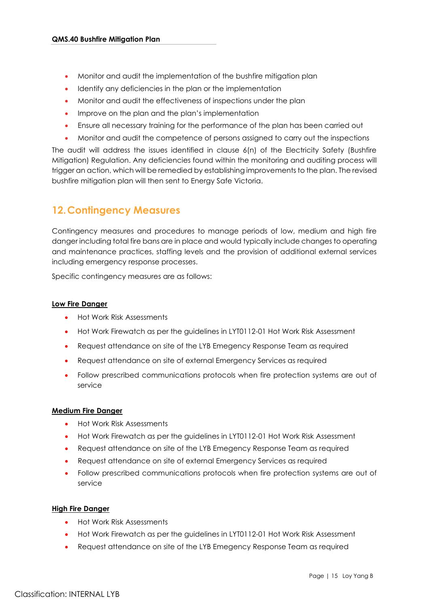- Monitor and audit the implementation of the bushfire mitigation plan
- Identify any deficiencies in the plan or the implementation
- Monitor and audit the effectiveness of inspections under the plan
- Improve on the plan and the plan's implementation
- Ensure all necessary training for the performance of the plan has been carried out
- Monitor and audit the competence of persons assigned to carry out the inspections

The audit will address the issues identified in clause 6(n) of the Electricity Safety (Bushfire Mitigation) Regulation. Any deficiencies found within the monitoring and auditing process will trigger an action, which will be remedied by establishing improvements to the plan. The revised bushfire mitigation plan will then sent to Energy Safe Victoria.

### <span id="page-14-0"></span>**12.Contingency Measures**

Contingency measures and procedures to manage periods of low, medium and high fire danger including total fire bans are in place and would typically include changes to operating and maintenance practices, staffing levels and the provision of additional external services including emergency response processes.

Specific contingency measures are as follows:

#### **Low Fire Danger**

- Hot Work Risk Assessments
- Hot Work Firewatch as per the guidelines in LYT0112-01 Hot Work Risk Assessment
- Request attendance on site of the LYB Emegency Response Team as required
- Request attendance on site of external Emergency Services as required
- Follow prescribed communications protocols when fire protection systems are out of service

#### **Medium Fire Danger**

- Hot Work Risk Assessments
- Hot Work Firewatch as per the guidelines in LYT0112-01 Hot Work Risk Assessment
- Request attendance on site of the LYB Emegency Response Team as required
- Request attendance on site of external Emergency Services as required
- Follow prescribed communications protocols when fire protection systems are out of service

#### **High Fire Danger**

- Hot Work Risk Assessments
- Hot Work Firewatch as per the guidelines in LYT0112-01 Hot Work Risk Assessment
- Request attendance on site of the LYB Emegency Response Team as required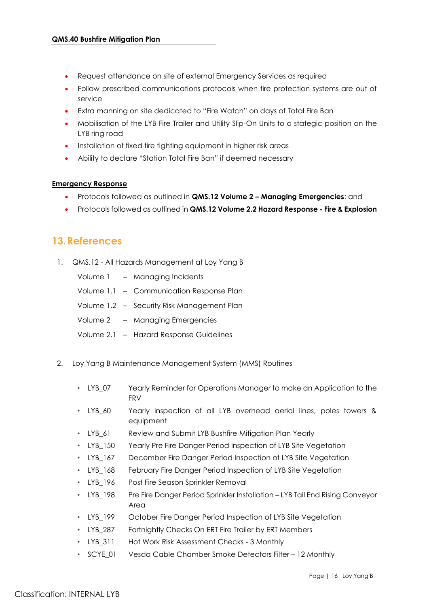- Request attendance on site of external Emergency Services as required
- Follow prescribed communications protocols when fire protection systems are out of service
- Extra manning on site dedicated to "Fire Watch" on days of Total Fire Ban
- Mobilisation of the LYB Fire Trailer and Utility Slip-On Units to a stategic position on the LYB ring road
- Installation of fixed fire fighting equipment in higher risk areas
- Ability to declare "Station Total Fire Ban" if deemed necessary

#### **Emergency Response**

- Protocols followed as outlined in **QMS.12 Volume 2 – Managing Emergencies**: and
- Protocols followed as outlined in **QMS.12 Volume 2.2 Hazard Response - Fire & Explosion**

### <span id="page-15-0"></span>**13.References**

1. QMS.12 - All Hazards Management at Loy Yang B

|  | Volume 1 - Managing Incidents              |
|--|--------------------------------------------|
|  | Volume 1.1 - Communication Response Plan   |
|  | Volume 1.2 - Security Risk Management Plan |
|  | Volume 2 - Managing Emergencies            |
|  | Volume 2.1 - Hazard Response Guidelines    |
|  |                                            |

- 2. Loy Yang B Maintenance Management System (MMS) Routines
	- LYB\_07 Yearly Reminder for Operations Manager to make an Application to the FRV
	- LYB\_60 Yearly inspection of all LYB overhead aerial lines, poles towers & equipment
	- LYB 61 Review and Submit LYB Bushfire Mitigation Plan Yearly
	- LYB\_150 Yearly Pre Fire Danger Period Inspection of LYB Site Vegetation
	- LYB\_167 December Fire Danger Period Inspection of LYB Site Vegetation
	- LYB\_168 February Fire Danger Period Inspection of LYB Site Vegetation
	- LYB\_196 Post Fire Season Sprinkler Removal
	- LYB\_198 Pre Fire Danger Period Sprinkler Installation LYB Tail End Rising Conveyor Area
	- LYB\_199 October Fire Danger Period Inspection of LYB Site Vegetation
	- LYB\_287 Fortnightly Checks On ERT Fire Trailer by ERT Members
	- LYB\_311 Hot Work Risk Assessment Checks 3 Monthly
	- SCYE 01 Vesda Cable Chamber Smoke Detectors Filter 12 Monthly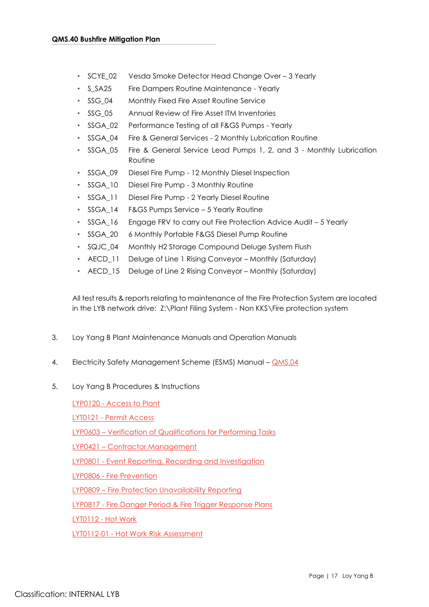- SCYE 02 Vesda Smoke Detector Head Change Over 3 Yearly
- S SA25 Fire Dampers Routine Maintenance Yearly
- SSG\_04 Monthly Fixed Fire Asset Routine Service
- SSG\_05 Annual Review of Fire Asset ITM Inventories
- SSGA 02 Performance Testing of all F&GS Pumps Yearly
- SSGA\_04 Fire & General Services 2 Monthly Lubrication Routine
- SSGA\_05 Fire & General Service Lead Pumps 1, 2, and 3 Monthly Lubrication Routine
- SSGA\_09 Diesel Fire Pump 12 Monthly Diesel Inspection
- SSGA\_10 Diesel Fire Pump 3 Monthly Routine
- SSGA\_11 Diesel Fire Pump 2 Yearly Diesel Routine
- SSGA\_14 F&GS Pumps Service 5 Yearly Routine
- SSGA\_16 Engage FRV to carry out Fire Protection Advice Audit 5 Yearly
- SSGA 20 6 Monthly Portable F&GS Diesel Pump Routine
- SQJC\_04 Monthly H2 Storage Compound Deluge System Flush
- AECD 11 Deluge of Line 1 Rising Conveyor Monthly (Saturday)
- AECD\_15 Deluge of Line 2 Rising Conveyor Monthly (Saturday)

All test results & reports relating to maintenance of the Fire Protection System are located in the LYB network drive: Z:\Plant Filing System - Non KKS\Fire protection system

- 3. Loy Yang B Plant Maintenance Manuals and Operation Manuals
- 4. Electricity Safety Management Scheme (ESMS) Manual [QMS.04](file://///lyb-file1-svr/Paradigm3/DocPublish/Docs/D0041575.docx)
- 5. Loy Yang B Procedures & Instructions

LYP0120 - [Access to Plant](file://///lyb-file1-svr/Paradigm3/DocPublish/Docs/D0031303.docx)

LYT0121 - [Permit Access](file://///lyb-file1-svr/Paradigm3/DocPublish/Docs/D0031304.docx)

LYP0603 – [Verification of Qualifications for Performing Tasks](file://///lyb-file1-svr/Paradigm3/DocPublish/Docs/D0029479.docx)

LYP0421 – [Contractor Management](file://///lyb-file1-svr/Paradigm3/DocPublish/Docs/D0029582.docx)

LYP0801 - Event [Reporting,](file://///lyb-file1-svr/Paradigm3/DocPublish/Docs/D0032601.docx) Recording and Investigation

LYP0806 - [Fire Prevention](file://///lyb-file1-svr/Paradigm3/DocPublish/Docs/D0028876.docx)

LYP0809 – Fire Protection Unavailability Reporting

LYP0817 - [Fire Danger Period & Fire Trigger Response Plans](file://///lyb-file1-svr/Paradigm3/DocPublish/Docs/D0041573.docx)

LYT0112 - [Hot Work](file://///lyb-file1-svr/Paradigm3/DocPublish/Docs/D0030328.docx) 

LYT0112-01 - [Hot Work Risk Assessment](file://///lyb-file1-svr/Paradigm3/DocPublish/Docs/D0041572.docx)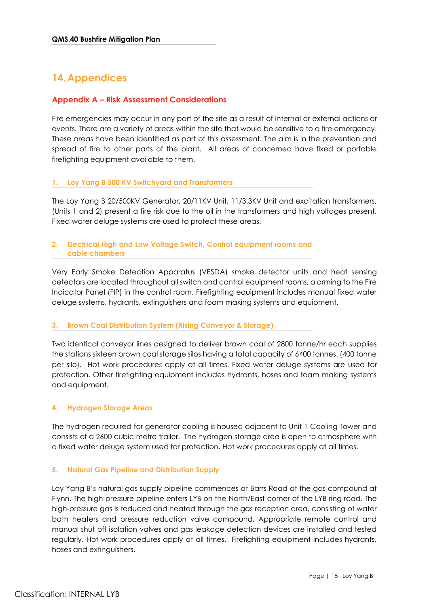# <span id="page-17-0"></span>**14.Appendices**

#### <span id="page-17-1"></span>**Appendix A – Risk Assessment Considerations**

Fire emergencies may occur in any part of the site as a result of internal or external actions or events. There are a variety of areas within the site that would be sensitive to a fire emergency. These areas have been identified as part of this assessment. The aim is in the prevention and spread of fire to other parts of the plant. All areas of concerned have fixed or portable firefighting equipment available to them.

#### <span id="page-17-2"></span>**1. Loy Yang B 500 KV Switchyard and Transformers**

The Loy Yang B 20/500KV Generator, 20/11KV Unit, 11/3.3KV Unit and excitation transformers, (Units 1 and 2) present a fire risk due to the oil in the transformers and high voltages present. Fixed water deluge systems are used to protect these areas.

#### <span id="page-17-3"></span>**2. Electrical High and Low Voltage Switch, Control equipment rooms and cable chambers**

Very Early Smoke Detection Apparatus (VESDA) smoke detector units and heat sensing detectors are located throughout all switch and control equipment rooms, alarming to the Fire Indicator Panel (FIP) in the control room. Firefighting equipment includes manual fixed water deluge systems, hydrants, extinguishers and foam making systems and equipment.

#### <span id="page-17-4"></span>**3. Brown Coal Distribution System (Rising Conveyor & Storage)**

Two identical conveyor lines designed to deliver brown coal of 2800 tonne/hr each supplies the stations sixteen brown coal storage silos having a total capacity of 6400 tonnes. (400 tonne per silo). Hot work procedures apply at all times. Fixed water deluge systems are used for protection. Other firefighting equipment includes hydrants, hoses and foam making systems and equipment.

#### <span id="page-17-5"></span>**4. Hydrogen Storage Areas**

The hydrogen required for generator cooling is housed adjacent to Unit 1 Cooling Tower and consists of a 2600 cubic metre trailer. The hydrogen storage area is open to atmosphere with a fixed water deluge system used for protection. Hot work procedures apply at all times.

#### <span id="page-17-6"></span>**5. Natural Gas Pipeline and Distribution Supply**

Loy Yang B's natural gas supply pipeline commences at Barrs Road at the gas compound at Flynn. The high-pressure pipeline enters LYB on the North/East corner of the LYB ring road. The high-pressure gas is reduced and heated through the gas reception area, consisting of water bath heaters and pressure reduction valve compound. Appropriate remote control and manual shut off isolation valves and gas leakage detection devices are installed and tested regularly. Hot work procedures apply at all times. Firefighting equipment includes hydrants, hoses and extinguishers.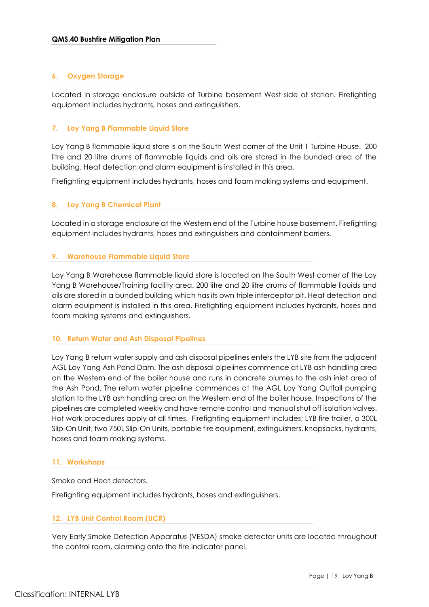#### <span id="page-18-0"></span>**6. Oxygen Storage**

Located in storage enclosure outside of Turbine basement West side of station. Firefighting equipment includes hydrants, hoses and extinguishers.

#### <span id="page-18-1"></span>**7. Loy Yang B Flammable Liquid Store**

Loy Yang B flammable liquid store is on the South West corner of the Unit 1 Turbine House. 200 litre and 20 litre drums of flammable liquids and oils are stored in the bunded area of the building. Heat detection and alarm equipment is installed in this area.

Firefighting equipment includes hydrants, hoses and foam making systems and equipment.

#### <span id="page-18-2"></span>**8. Loy Yang B Chemical Plant**

Located in a storage enclosure at the Western end of the Turbine house basement. Firefighting equipment includes hydrants, hoses and extinguishers and containment barriers.

#### <span id="page-18-3"></span>**9. Warehouse Flammable Liquid Store**

Loy Yang B Warehouse flammable liquid store is located on the South West corner of the Loy Yang B Warehouse/Training facility area. 200 litre and 20 litre drums of flammable liquids and oils are stored in a bunded building which has its own triple interceptor pit. Heat detection and alarm equipment is installed in this area. Firefighting equipment includes hydrants, hoses and foam making systems and extinguishers.

#### <span id="page-18-4"></span>**10. Return Water and Ash Disposal Pipelines**

Loy Yang B return water supply and ash disposal pipelines enters the LYB site from the adjacent AGL Loy Yang Ash Pond Dam. The ash disposal pipelines commence at LYB ash handling area on the Western end of the boiler house and runs in concrete plumes to the ash inlet area of the Ash Pond. The return water pipeline commences at the AGL Loy Yang Outfall pumping station to the LYB ash handling area on the Western end of the boiler house. Inspections of the pipelines are completed weekly and have remote control and manual shut off isolation valves. Hot work procedures apply at all times. Firefighting equipment includes; LYB fire trailer, a 300L Slip-On Unit, two 750L Slip-On Units, portable fire equipment, extinguishers, knapsacks, hydrants, hoses and foam making systems.

#### <span id="page-18-5"></span>**11. Workshops**

Smoke and Heat detectors.

Firefighting equipment includes hydrants, hoses and extinguishers.

#### <span id="page-18-6"></span>**12. LYB Unit Control Room (UCR)**

Very Early Smoke Detection Apparatus (VESDA) smoke detector units are located throughout the control room, alarming onto the fire indicator panel.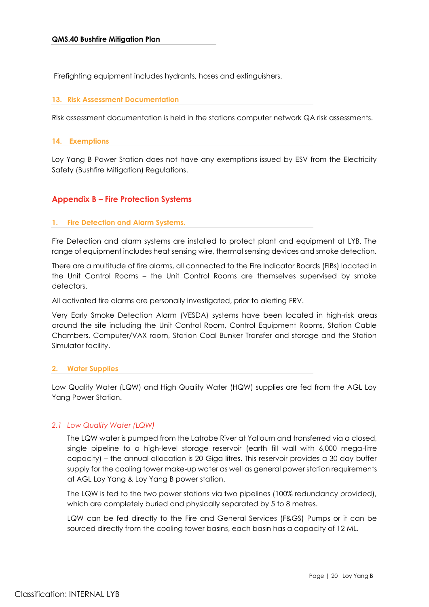Firefighting equipment includes hydrants, hoses and extinguishers.

#### <span id="page-19-0"></span>**13. Risk Assessment Documentation**

Risk assessment documentation is held in the stations computer network QA risk assessments.

#### <span id="page-19-1"></span>**14. Exemptions**

Loy Yang B Power Station does not have any exemptions issued by ESV from the Electricity Safety (Bushfire Mitigation) Regulations.

#### <span id="page-19-2"></span>**Appendix B – Fire Protection Systems**

#### <span id="page-19-3"></span>**1. Fire Detection and Alarm Systems.**

Fire Detection and alarm systems are installed to protect plant and equipment at LYB. The range of equipment includes heat sensing wire, thermal sensing devices and smoke detection.

There are a multitude of fire alarms, all connected to the Fire Indicator Boards (FIBs) located in the Unit Control Rooms – the Unit Control Rooms are themselves supervised by smoke detectors.

All activated fire alarms are personally investigated, prior to alerting FRV.

Very Early Smoke Detection Alarm (VESDA) systems have been located in high-risk areas around the site including the Unit Control Room, Control Equipment Rooms, Station Cable Chambers, Computer/VAX room, Station Coal Bunker Transfer and storage and the Station Simulator facility.

#### <span id="page-19-4"></span>**2. Water Supplies**

Low Quality Water (LQW) and High Quality Water (HQW) supplies are fed from the AGL Loy Yang Power Station.

#### *2.1 Low Quality Water (LQW)*

The LQW water is pumped from the Latrobe River at Yallourn and transferred via a closed, single pipeline to a high-level storage reservoir (earth fill wall with 6,000 mega-litre capacity) – the annual allocation is 20 Giga litres. This reservoir provides a 30 day buffer supply for the cooling tower make-up water as well as general power station requirements at AGL Loy Yang & Loy Yang B power station.

The LQW is fed to the two power stations via two pipelines (100% redundancy provided), which are completely buried and physically separated by 5 to 8 metres.

LQW can be fed directly to the Fire and General Services (F&GS) Pumps or it can be sourced directly from the cooling tower basins, each basin has a capacity of 12 ML.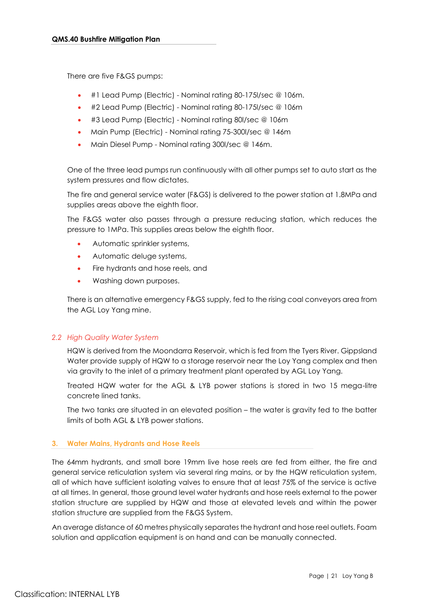There are five F&GS pumps:

- #1 Lead Pump (Electric) Nominal rating 80-175l/sec @ 106m.
- #2 Lead Pump (Electric) Nominal rating 80-175l/sec @ 106m
- #3 Lead Pump (Electric) Nominal rating 80l/sec @ 106m
- Main Pump (Electric) Nominal rating 75-300l/sec @ 146m
- Main Diesel Pump Nominal rating 300l/sec @ 146m.

One of the three lead pumps run continuously with all other pumps set to auto start as the system pressures and flow dictates.

The fire and general service water (F&GS) is delivered to the power station at 1.8MPa and supplies areas above the eighth floor.

The F&GS water also passes through a pressure reducing station, which reduces the pressure to 1MPa. This supplies areas below the eighth floor.

- Automatic sprinkler systems,
- Automatic deluge systems,
- Fire hydrants and hose reels, and
- Washing down purposes.

There is an alternative emergency F&GS supply, fed to the rising coal conveyors area from the AGL Loy Yang mine.

#### *2.2 High Quality Water System*

HQW is derived from the Moondarra Reservoir, which is fed from the Tyers River. Gippsland Water provide supply of HQW to a storage reservoir near the Loy Yang complex and then via gravity to the inlet of a primary treatment plant operated by AGL Loy Yang.

Treated HQW water for the AGL & LYB power stations is stored in two 15 mega-litre concrete lined tanks.

The two tanks are situated in an elevated position – the water is gravity fed to the batter limits of both AGL & LYB power stations.

#### <span id="page-20-0"></span>**3. Water Mains, Hydrants and Hose Reels**

The 64mm hydrants, and small bore 19mm live hose reels are fed from either, the fire and general service reticulation system via several ring mains, or by the HQW reticulation system, all of which have sufficient isolating valves to ensure that at least 75% of the service is active at all times. In general, those ground level water hydrants and hose reels external to the power station structure are supplied by HQW and those at elevated levels and within the power station structure are supplied from the F&GS System.

An average distance of 60 metres physically separates the hydrant and hose reel outlets. Foam solution and application equipment is on hand and can be manually connected.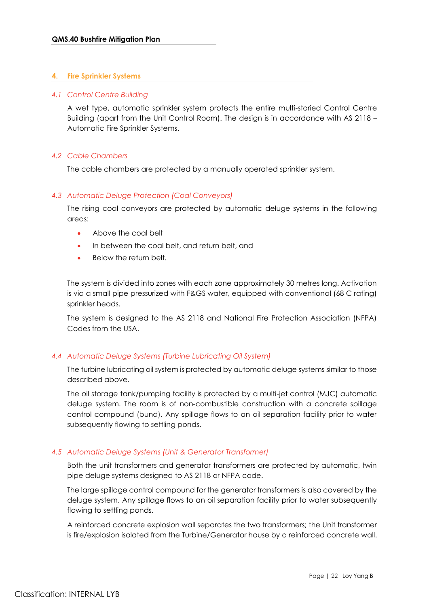#### <span id="page-21-0"></span>**4. Fire Sprinkler Systems**

#### *4.1 Control Centre Building*

A wet type, automatic sprinkler system protects the entire multi-storied Control Centre Building (apart from the Unit Control Room). The design is in accordance with AS 2118 – Automatic Fire Sprinkler Systems.

#### *4.2 Cable Chambers*

The cable chambers are protected by a manually operated sprinkler system.

#### *4.3 Automatic Deluge Protection (Coal Conveyors)*

The rising coal conveyors are protected by automatic deluge systems in the following areas:

- Above the coal belt
- In between the coal belt, and return belt, and
- Below the return belt.

The system is divided into zones with each zone approximately 30 metres long. Activation is via a small pipe pressurized with F&GS water, equipped with conventional (68 C rating) sprinkler heads.

The system is designed to the AS 2118 and National Fire Protection Association (NFPA) Codes from the USA.

#### *4.4 Automatic Deluge Systems (Turbine Lubricating Oil System)*

The turbine lubricating oil system is protected by automatic deluge systems similar to those described above.

The oil storage tank/pumping facility is protected by a multi-jet control (MJC) automatic deluge system. The room is of non-combustible construction with a concrete spillage control compound (bund). Any spillage flows to an oil separation facility prior to water subsequently flowing to settling ponds.

#### *4.5 Automatic Deluge Systems (Unit & Generator Transformer)*

Both the unit transformers and generator transformers are protected by automatic, twin pipe deluge systems designed to AS 2118 or NFPA code.

The large spillage control compound for the generator transformers is also covered by the deluge system. Any spillage flows to an oil separation facility prior to water subsequently flowing to settling ponds.

A reinforced concrete explosion wall separates the two transformers; the Unit transformer is fire/explosion isolated from the Turbine/Generator house by a reinforced concrete wall.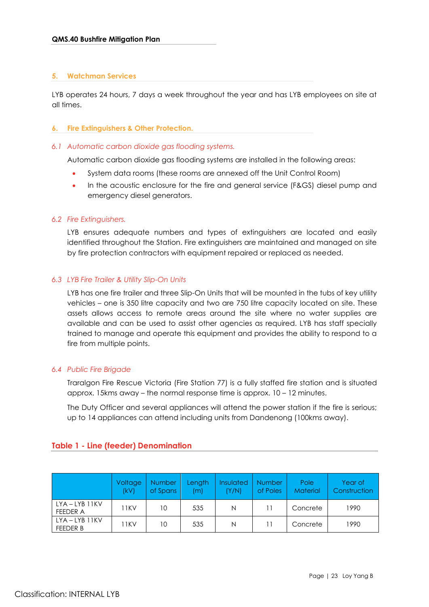#### <span id="page-22-0"></span>**5. Watchman Services**

LYB operates 24 hours, 7 days a week throughout the year and has LYB employees on site at all times.

#### <span id="page-22-1"></span>**6. Fire Extinguishers & Other Protection.**

#### *6.1 Automatic carbon dioxide gas flooding systems.*

Automatic carbon dioxide gas flooding systems are installed in the following areas:

- System data rooms (these rooms are annexed off the Unit Control Room)
- In the acoustic enclosure for the fire and general service (F&GS) diesel pump and emergency diesel generators.

#### *6.2 Fire Extinguishers.*

LYB ensures adequate numbers and types of extinguishers are located and easily identified throughout the Station. Fire extinguishers are maintained and managed on site by fire protection contractors with equipment repaired or replaced as needed.

#### *6.3 LYB Fire Trailer & Utility Slip-On Units*

LYB has one fire trailer and three Slip-On Units that will be mounted in the tubs of key utility vehicles – one is 350 litre capacity and two are 750 litre capacity located on site. These assets allows access to remote areas around the site where no water supplies are available and can be used to assist other agencies as required. LYB has staff specially trained to manage and operate this equipment and provides the ability to respond to a fire from multiple points.

#### *6.4 Public Fire Brigade*

Traralgon Fire Rescue Victoria (Fire Station 77) is a fully staffed fire station and is situated approx. 15kms away – the normal response time is approx. 10 – 12 minutes.

The Duty Officer and several appliances will attend the power station if the fire is serious; up to 14 appliances can attend including units from Dandenong (100kms away).

|                                       | Voltage<br>(kV) | <b>Number</b><br>of Spans | Length<br>m) | <b>Insulated</b><br>(Y/N) | <b>Number</b><br>of Poles | Pole<br><b>Material</b> | Year of<br><b>Construction</b> |
|---------------------------------------|-----------------|---------------------------|--------------|---------------------------|---------------------------|-------------------------|--------------------------------|
| $LYA - LYB$ $11KV$<br>FEEDER A        | 11 K V          | 10                        | 535          | N                         | 11                        | Concrete                | 1990                           |
| $LYA - LYB$ $11KV$<br><b>FEEDER B</b> | 11 K V          | 10                        | 535          | N                         |                           | Concrete                | 1990                           |

#### <span id="page-22-2"></span>**Table 1 - Line (feeder) Denomination**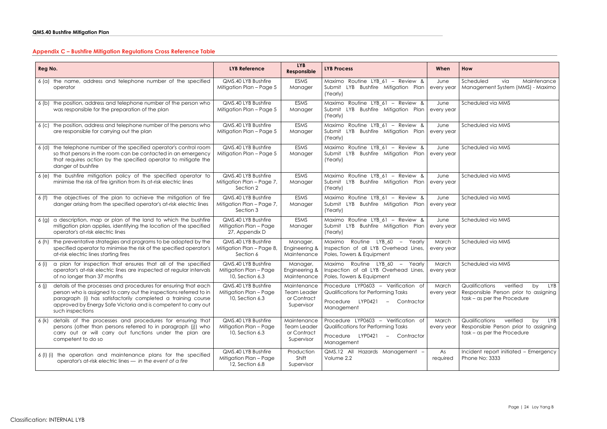# <span id="page-23-0"></span>**Appendix C – Bushfire Mitigation Regulations Cross Reference Table**

| Reg No.                                                                                                                                                                                                                                                                                                  | <b>LYB Reference</b>                                             | <b>LYB</b><br>Responsible                                      | <b>LYB Process</b>                                                                                                                          | When                | How                                                                                                          |
|----------------------------------------------------------------------------------------------------------------------------------------------------------------------------------------------------------------------------------------------------------------------------------------------------------|------------------------------------------------------------------|----------------------------------------------------------------|---------------------------------------------------------------------------------------------------------------------------------------------|---------------------|--------------------------------------------------------------------------------------------------------------|
| 6 (a) the name, address and telephone number of the specified<br>operator                                                                                                                                                                                                                                | QMS.40 LYB Bushfire<br>Mitigation Plan - Page 5                  | <b>ESMS</b><br>Manager                                         | Maximo Routine LYB_61 - Review &<br>LYB Bushfire Mitigation Plan<br>Submit<br>(Yearly)                                                      | June<br>every year  | Scheduled<br>Maintenance<br>via<br>Management System (MMS) - Maximo                                          |
| the position, address and telephone number of the person who<br>6 (b)<br>was responsible for the preparation of the plan                                                                                                                                                                                 | QMS.40 LYB Bushfire<br>Mitigation Plan - Page 5                  | <b>ESMS</b><br>Manager                                         | Maximo Routine LYB_61 - Review &<br>LYB Bushfire Mitigation Plan<br>Submit<br>(Yearly)                                                      | June<br>every year  | Scheduled via MMS                                                                                            |
| the position, address and telephone number of the persons who<br>6 <sup>(c)</sup><br>are responsible for carrying out the plan                                                                                                                                                                           | QMS.40 LYB Bushfire<br>Mitigation Plan - Page 5                  | <b>ESMS</b><br>Manager                                         | Maximo Routine LYB 61 - Review &<br>LYB Bushfire Mitigation Plan<br>Submit<br>(Yearly)                                                      | June<br>every year  | Scheduled via MMS                                                                                            |
| the telephone number of the specified operator's control room<br>6 (d)<br>so that persons in the room can be contacted in an emergency<br>that requires action by the specified operator to mitigate the<br>danger of bushfire                                                                           | QMS.40 LYB Bushfire<br>Mitigation Plan - Page 5                  | <b>ESMS</b><br>Manager                                         | Maximo Routine LYB 61 - Review &<br>LYB<br>Bushfire Mitigation Plan<br>Submit<br>(Yearly)                                                   | June<br>every year  | Scheduled via MMS                                                                                            |
| 6 (e) the bushfire mitigation policy of the specified operator to<br>minimise the risk of fire ignition from its at-risk electric lines                                                                                                                                                                  | QMS.40 LYB Bushfire<br>Mitigation Plan - Page 7,<br>Section 2    | <b>ESMS</b><br>Manager                                         | Maximo Routine LYB 61 - Review &<br>LYB Bushfire Mitigation Plan<br>Submit<br>(Yearly)                                                      | June<br>every year  | Scheduled via MMS                                                                                            |
| the objectives of the plan to achieve the mitigation of fire<br>6 (f)<br>danger arising from the specified operator's at-risk electric lines                                                                                                                                                             | QMS.40 LYB Bushfire<br>Mitigation Plan - Page 7,<br>Section 3    | <b>ESMS</b><br>Manager                                         | Maximo Routine LYB 61 - Review &<br>Submit LYB Bushfire Mitigation Plan<br>(Yearly)                                                         | June<br>every year  | Scheduled via MMS                                                                                            |
| a description, map or plan of the land to which the bushfire<br>6 (g)<br>mitigation plan applies, identifying the location of the specified<br>operator's at-risk electric lines                                                                                                                         | QMS.40 LYB Bushfire<br>Mitigation Plan - Page<br>27, Appendix D  | <b>ESMS</b><br>Manager                                         | Maximo Routine LYB 61 - Review &<br>LYB Bushfire Mitigation Plan<br>Submit<br>(Yearly)                                                      | June<br>every year  | Scheduled via MMS                                                                                            |
| the preventative strategies and programs to be adopted by the<br>6 (h)<br>specified operator to minimise the risk of the specified operator's<br>at-risk electric lines starting fires                                                                                                                   | QMS.40 LYB Bushfire<br>Mitigation Plan - Page 8,<br>Section 6    | Manager,<br>Engineering &<br>Maintenance                       | $LYB$ 60 $-$<br>Routine<br>Yearly<br>Maximo<br>Inspection of all LYB Overhead Lines,<br>Poles, Towers & Equipment                           | March<br>every year | Scheduled via MMS                                                                                            |
| a plan for inspection that ensures that all of the specified<br>6 (i)<br>operator's at-risk electric lines are inspected at regular intervals<br>of no longer than 37 months                                                                                                                             | QMS.40 LYB Bushfire<br>Mitigation Plan - Page<br>10, Section 6.3 | Manager,<br>Engineering &<br>Maintenance                       | Routine LYB 60<br>Maximo<br>Yearly<br>$\overline{\phantom{0}}$<br>Inspection of all LYB Overhead Lines,<br>Poles, Towers & Equipment        | March<br>every year | Scheduled via MMS                                                                                            |
| $\vert$ 6 (j) details of the processes and procedures for ensuring that each<br>person who is assigned to carry out the inspections referred to in<br>paragraph (i) has satisfactorily completed a training course<br>approved by Energy Safe Victoria and is competent to carry out<br>such inspections | QMS.40 LYB Bushfire<br>Mitigation Plan - Page<br>10, Section 6.3 | Maintenance<br>Team Leader<br>or Contract<br>Supervisor        | Procedure LYP0603 - Verification of March<br>Qualifications for Performing Tasks<br>Procedure LYP0421<br>Contractor<br>$\sim$<br>Management | every year          | Qualifications verified by LYB<br>Responsible Person prior to assigning<br>task - as per the Procedure       |
| details of the processes and procedures for ensuring that<br>6 (k)<br>persons (other than persons referred to in paragraph (j)) who<br>carry out or will carry out functions under the plan are<br>competent to do so                                                                                    | QMS.40 LYB Bushfire<br>Mitigation Plan - Page<br>10, Section 6.3 | Maintenance<br><b>Team Leader</b><br>or Contract<br>Supervisor | Procedure LYP0603 - Verification of<br>Qualifications for Performing Tasks<br>Procedure LYP0421<br>- Contractor<br>Management               | March<br>every year | Qualifications<br>verified<br>by LYB<br>Responsible Person prior to assigning<br>task - as per the Procedure |
| 6 (I) (i) the operation and maintenance plans for the specified<br>operator's at-risk electric lines - in the event of a fire                                                                                                                                                                            | QMS.40 LYB Bushfire<br>Mitigation Plan - Page<br>12, Section 6.8 | Production<br>Shift<br>Supervisor                              | QMS.12 All Hazards Management -<br>Volume 2.2                                                                                               | As<br>required      | Incident report initiated - Emergency<br>Phone No: 3333                                                      |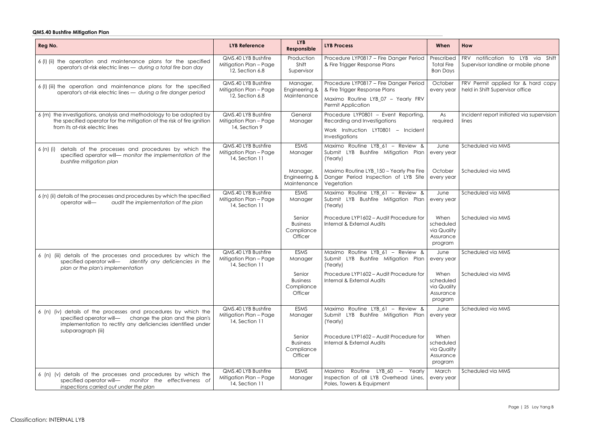### **QMS.40 Bushfire Mitigation Plan**

| Reg No.                                                                                                                                                                                                            | <b>LYB Reference</b>                                             | <b>LYB</b><br>Responsible                          | <b>LYB Process</b>                                                                                                                         | When                                                     | How                                                                      |
|--------------------------------------------------------------------------------------------------------------------------------------------------------------------------------------------------------------------|------------------------------------------------------------------|----------------------------------------------------|--------------------------------------------------------------------------------------------------------------------------------------------|----------------------------------------------------------|--------------------------------------------------------------------------|
| 6 (I) (ii) the operation and maintenance plans for the specified<br>operator's at-risk electric lines - during a total fire ban day                                                                                | QMS.40 LYB Bushfire<br>Mitigation Plan - Page<br>12, Section 6.8 | Production<br>Shift<br>Supervisor                  | Procedure LYP0817 - Fire Danger Period<br>& Fire Trigger Response Plans                                                                    | Prescribed<br><b>Total Fire</b><br><b>Ban Days</b>       | FRV notification to LYB via Shift<br>Supervisor landline or mobile phone |
| 6 (I) (iii) the operation and maintenance plans for the specified<br>operator's at-risk electric lines - during a fire danger period                                                                               | QMS.40 LYB Bushfire<br>Mitigation Plan - Page<br>12, Section 6.8 | Manager,<br>Engineering &<br>Maintenance           | Procedure LYP0817 - Fire Danger Period<br>& Fire Trigger Response Plans<br>Maximo Routine LYB_07 - Yearly FRV<br><b>Permit Application</b> | October<br>every year                                    | FRV Permit applied for & hard copy<br>held in Shift Supervisor office    |
| 6 (m) the investigations, analysis and methodology to be adopted by<br>the specified operator for the mitigation of the risk of fire ignition<br>from its at-risk electric lines                                   | QMS.40 LYB Bushfire<br>Mitigation Plan - Page<br>14, Section 9   | General<br>Manager                                 | Procedure LYP0801 - Event Reporting,<br>Recording and Investigations<br>Work Instruction LYT0801 - Incident<br>Investigations              | As<br>required                                           | Incident report initiated via supervision<br>lines                       |
| details of the processes and procedures by which the<br>6 (n) (i)<br>specified operator will- monitor the implementation of the<br>bushfire mitigation plan                                                        | QMS.40 LYB Bushfire<br>Mitigation Plan - Page<br>14, Section 11  | <b>ESMS</b><br>Manager                             | Maximo Routine LYB 61 - Review &<br>Submit LYB Bushfire Mitigation Plan<br>(Yearly)                                                        | June<br>every year                                       | Scheduled via MMS                                                        |
|                                                                                                                                                                                                                    |                                                                  | Manager,<br>Engineering &<br>Maintenance           | Maximo Routine LYB 150 - Yearly Pre Fire<br>Danger Period Inspection of LYB Site<br>Vegetation                                             | October<br>every year                                    | Scheduled via MMS                                                        |
| 6 (n) (ii) details of the processes and procedures by which the specified<br>audit the implementation of the plan<br>operator will-                                                                                | QMS.40 LYB Bushfire<br>Mitigation Plan - Page<br>14, Section 11  | <b>ESMS</b><br>Manager                             | Maximo Routine LYB_61 - Review &<br>LYB Bushfire Mitigation Plan<br>Submit<br>(Yearly)                                                     | June<br>every year                                       | Scheduled via MMS                                                        |
|                                                                                                                                                                                                                    |                                                                  | Senior<br><b>Business</b><br>Compliance<br>Officer | Procedure LYP1602 - Audit Procedure for<br>Internal & External Audits                                                                      | When<br>scheduled<br>via Quality<br>Assurance<br>program | Scheduled via MMS                                                        |
| 6 (n) (iii) details of the processes and procedures by which the<br>identify any deficiencies in the<br>specified operator will-<br>plan or the plan's implementation                                              | QMS.40 LYB Bushfire<br>Mitigation Plan - Page<br>14, Section 11  | <b>ESMS</b><br>Manager                             | Maximo Routine LYB_61 - Review &<br>Submit LYB Bushfire Mitigation Plan<br>(Yearly)                                                        | June<br>every year                                       | Scheduled via MMS                                                        |
|                                                                                                                                                                                                                    |                                                                  | Senior<br><b>Business</b><br>Compliance<br>Officer | Procedure LYP1602 - Audit Procedure for<br>Internal & External Audits                                                                      | When<br>scheduled<br>via Quality<br>Assurance<br>program | Scheduled via MMS                                                        |
| 6 (n) (iv) details of the processes and procedures by which the<br>change the plan and the plan's<br>specified operator will-<br>implementation to rectify any deficiencies identified under<br>subparagraph (iii) | QMS.40 LYB Bushfire<br>Mitigation Plan - Page<br>14, Section 11  | <b>ESMS</b><br>Manager                             | Maximo Routine LYB_61 - Review &<br>Submit<br>LYB Bushfire Mitigation Plan<br>(Yearly)                                                     | June<br>every year                                       | Scheduled via MMS                                                        |
|                                                                                                                                                                                                                    |                                                                  | Senior<br><b>Business</b><br>Compliance<br>Officer | Procedure LYP1602 - Audit Procedure for<br>Internal & External Audits                                                                      | When<br>scheduled<br>via Quality<br>Assurance<br>program |                                                                          |
| 6 (n) (v) details of the processes and procedures by which the<br>specified operator will- monitor the effectiveness of<br>inspections carried out under the plan                                                  | QMS.40 LYB Bushfire<br>Mitigation Plan - Page<br>14, Section 11  | <b>ESMS</b><br>Manager                             | Routine LYB_60 -<br>Yearly<br>Maximo<br>Inspection of all LYB Overhead Lines,<br>Poles, Towers & Equipment                                 | March<br>every year                                      | Scheduled via MMS                                                        |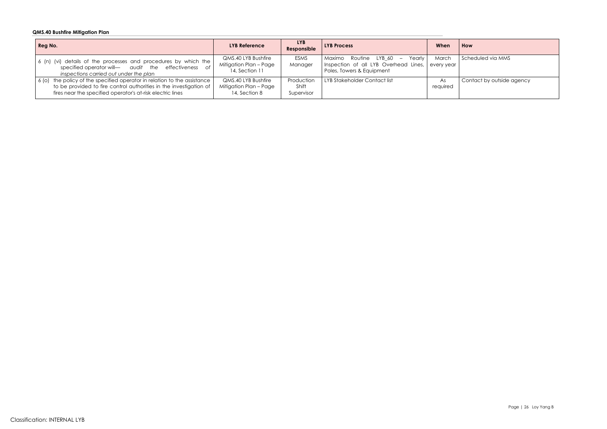### **QMS.40 Bushfire Mitigation Plan**

| Reg No.                                                                                                                                                                                                      | <b>LYB Reference</b>                                            | <b>LYB</b><br>Responsible         | <b>LYB Process</b>                                                                                         | When                | How  |
|--------------------------------------------------------------------------------------------------------------------------------------------------------------------------------------------------------------|-----------------------------------------------------------------|-----------------------------------|------------------------------------------------------------------------------------------------------------|---------------------|------|
| 6 (n) (vi) details of the processes and procedures by which the<br>specified operator will— audit the effectiveness of<br>inspections carried out under the plan                                             | QMS.40 LYB Bushfire<br>Mitigation Plan - Page<br>14, Section 11 | <b>ESMS</b><br>Manager            | Maximo<br>Yearly<br>Routine LYB 60 –<br>Inspection of all LYB Overhead Lines,<br>Poles, Towers & Equipment | March<br>every year | Sche |
| 6 (o) the policy of the specified operator in relation to the assistance<br>to be provided to fire control authorities in the investigation of<br>fires near the specified operator's at-risk electric lines | QMS.40 LYB Bushfire<br>Mitigation Plan - Page<br>14, Section 8  | Production<br>Shift<br>Supervisor | LYB Stakeholder Contact list                                                                               | As<br>required      | Con  |

Scheduled via MMS

Contact by outside agency